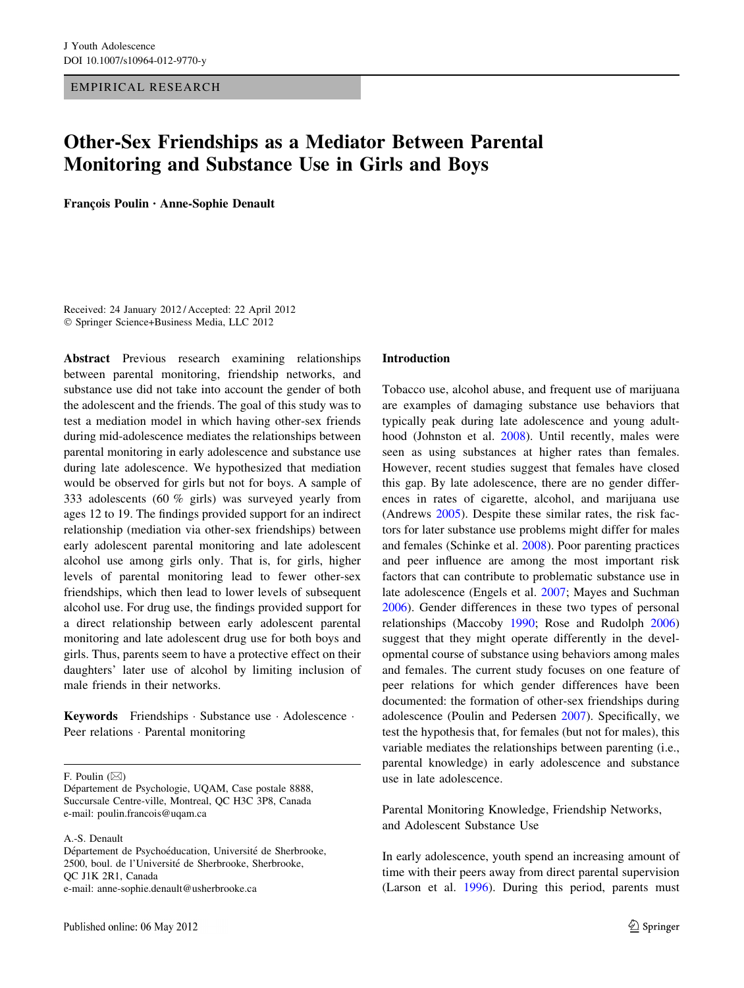EMPIRICAL RESEARCH

# Other-Sex Friendships as a Mediator Between Parental Monitoring and Substance Use in Girls and Boys

François Poulin · Anne-Sophie Denault

Received: 24 January 2012 / Accepted: 22 April 2012 - Springer Science+Business Media, LLC 2012

Abstract Previous research examining relationships between parental monitoring, friendship networks, and substance use did not take into account the gender of both the adolescent and the friends. The goal of this study was to test a mediation model in which having other-sex friends during mid-adolescence mediates the relationships between parental monitoring in early adolescence and substance use during late adolescence. We hypothesized that mediation would be observed for girls but not for boys. A sample of 333 adolescents (60 % girls) was surveyed yearly from ages 12 to 19. The findings provided support for an indirect relationship (mediation via other-sex friendships) between early adolescent parental monitoring and late adolescent alcohol use among girls only. That is, for girls, higher levels of parental monitoring lead to fewer other-sex friendships, which then lead to lower levels of subsequent alcohol use. For drug use, the findings provided support for a direct relationship between early adolescent parental monitoring and late adolescent drug use for both boys and girls. Thus, parents seem to have a protective effect on their daughters' later use of alcohol by limiting inclusion of male friends in their networks.

Keywords Friendships · Substance use · Adolescence · Peer relations · Parental monitoring

F. Poulin  $(\boxtimes)$ 

A.-S. Denault

#### Introduction

Tobacco use, alcohol abuse, and frequent use of marijuana are examples of damaging substance use behaviors that typically peak during late adolescence and young adulthood (Johnston et al. [2008](#page-12-0)). Until recently, males were seen as using substances at higher rates than females. However, recent studies suggest that females have closed this gap. By late adolescence, there are no gender differences in rates of cigarette, alcohol, and marijuana use (Andrews [2005](#page-11-0)). Despite these similar rates, the risk factors for later substance use problems might differ for males and females (Schinke et al. [2008\)](#page-13-0). Poor parenting practices and peer influence are among the most important risk factors that can contribute to problematic substance use in late adolescence (Engels et al. [2007](#page-12-0); Mayes and Suchman [2006](#page-12-0)). Gender differences in these two types of personal relationships (Maccoby [1990](#page-12-0); Rose and Rudolph [2006\)](#page-13-0) suggest that they might operate differently in the developmental course of substance using behaviors among males and females. The current study focuses on one feature of peer relations for which gender differences have been documented: the formation of other-sex friendships during adolescence (Poulin and Pedersen [2007](#page-13-0)). Specifically, we test the hypothesis that, for females (but not for males), this variable mediates the relationships between parenting (i.e., parental knowledge) in early adolescence and substance use in late adolescence.

Parental Monitoring Knowledge, Friendship Networks, and Adolescent Substance Use

In early adolescence, youth spend an increasing amount of time with their peers away from direct parental supervision (Larson et al. [1996](#page-12-0)). During this period, parents must

Département de Psychologie, UQAM, Case postale 8888, Succursale Centre-ville, Montreal, QC H3C 3P8, Canada e-mail: poulin.francois@uqam.ca

Département de Psychoéducation, Université de Sherbrooke, 2500, boul. de l'Université de Sherbrooke, Sherbrooke, QC J1K 2R1, Canada e-mail: anne-sophie.denault@usherbrooke.ca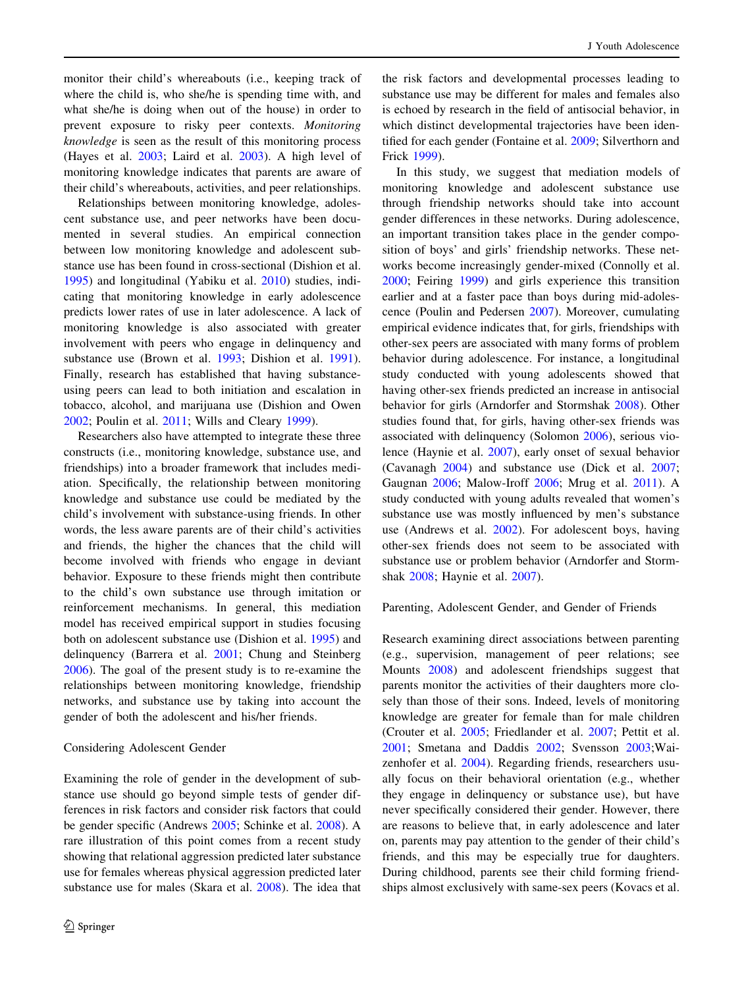monitor their child's whereabouts (i.e., keeping track of where the child is, who she/he is spending time with, and what she/he is doing when out of the house) in order to prevent exposure to risky peer contexts. Monitoring knowledge is seen as the result of this monitoring process (Hayes et al. [2003;](#page-12-0) Laird et al. [2003](#page-12-0)). A high level of monitoring knowledge indicates that parents are aware of their child's whereabouts, activities, and peer relationships.

Relationships between monitoring knowledge, adolescent substance use, and peer networks have been documented in several studies. An empirical connection between low monitoring knowledge and adolescent substance use has been found in cross-sectional (Dishion et al. [1995\)](#page-12-0) and longitudinal (Yabiku et al. [2010](#page-13-0)) studies, indicating that monitoring knowledge in early adolescence predicts lower rates of use in later adolescence. A lack of monitoring knowledge is also associated with greater involvement with peers who engage in delinquency and substance use (Brown et al. [1993;](#page-11-0) Dishion et al. [1991](#page-12-0)). Finally, research has established that having substanceusing peers can lead to both initiation and escalation in tobacco, alcohol, and marijuana use (Dishion and Owen [2002;](#page-12-0) Poulin et al. [2011](#page-13-0); Wills and Cleary [1999](#page-13-0)).

Researchers also have attempted to integrate these three constructs (i.e., monitoring knowledge, substance use, and friendships) into a broader framework that includes mediation. Specifically, the relationship between monitoring knowledge and substance use could be mediated by the child's involvement with substance-using friends. In other words, the less aware parents are of their child's activities and friends, the higher the chances that the child will become involved with friends who engage in deviant behavior. Exposure to these friends might then contribute to the child's own substance use through imitation or reinforcement mechanisms. In general, this mediation model has received empirical support in studies focusing both on adolescent substance use (Dishion et al. [1995](#page-12-0)) and delinquency (Barrera et al. [2001](#page-11-0); Chung and Steinberg [2006\)](#page-11-0). The goal of the present study is to re-examine the relationships between monitoring knowledge, friendship networks, and substance use by taking into account the gender of both the adolescent and his/her friends.

## Considering Adolescent Gender

Examining the role of gender in the development of substance use should go beyond simple tests of gender differences in risk factors and consider risk factors that could be gender specific (Andrews [2005](#page-11-0); Schinke et al. [2008](#page-13-0)). A rare illustration of this point comes from a recent study showing that relational aggression predicted later substance use for females whereas physical aggression predicted later substance use for males (Skara et al. [2008\)](#page-13-0). The idea that

the risk factors and developmental processes leading to substance use may be different for males and females also is echoed by research in the field of antisocial behavior, in which distinct developmental trajectories have been identified for each gender (Fontaine et al. [2009;](#page-12-0) Silverthorn and Frick [1999\)](#page-13-0).

In this study, we suggest that mediation models of monitoring knowledge and adolescent substance use through friendship networks should take into account gender differences in these networks. During adolescence, an important transition takes place in the gender composition of boys' and girls' friendship networks. These networks become increasingly gender-mixed (Connolly et al. [2000](#page-11-0); Feiring [1999\)](#page-12-0) and girls experience this transition earlier and at a faster pace than boys during mid-adolescence (Poulin and Pedersen [2007\)](#page-13-0). Moreover, cumulating empirical evidence indicates that, for girls, friendships with other-sex peers are associated with many forms of problem behavior during adolescence. For instance, a longitudinal study conducted with young adolescents showed that having other-sex friends predicted an increase in antisocial behavior for girls (Arndorfer and Stormshak [2008](#page-11-0)). Other studies found that, for girls, having other-sex friends was associated with delinquency (Solomon [2006](#page-13-0)), serious violence (Haynie et al. [2007\)](#page-12-0), early onset of sexual behavior (Cavanagh [2004\)](#page-11-0) and substance use (Dick et al. [2007](#page-12-0); Gaugnan [2006](#page-12-0); Malow-Iroff [2006;](#page-12-0) Mrug et al. [2011\)](#page-12-0). A study conducted with young adults revealed that women's substance use was mostly influenced by men's substance use (Andrews et al. [2002\)](#page-11-0). For adolescent boys, having other-sex friends does not seem to be associated with substance use or problem behavior (Arndorfer and Stormshak [2008;](#page-11-0) Haynie et al. [2007\)](#page-12-0).

#### Parenting, Adolescent Gender, and Gender of Friends

Research examining direct associations between parenting (e.g., supervision, management of peer relations; see Mounts [2008\)](#page-12-0) and adolescent friendships suggest that parents monitor the activities of their daughters more closely than those of their sons. Indeed, levels of monitoring knowledge are greater for female than for male children (Crouter et al. [2005](#page-11-0); Friedlander et al. [2007](#page-12-0); Pettit et al. [2001](#page-13-0); Smetana and Daddis [2002](#page-13-0); Svensson [2003](#page-13-0);Waizenhofer et al. [2004](#page-13-0)). Regarding friends, researchers usually focus on their behavioral orientation (e.g., whether they engage in delinquency or substance use), but have never specifically considered their gender. However, there are reasons to believe that, in early adolescence and later on, parents may pay attention to the gender of their child's friends, and this may be especially true for daughters. During childhood, parents see their child forming friendships almost exclusively with same-sex peers (Kovacs et al.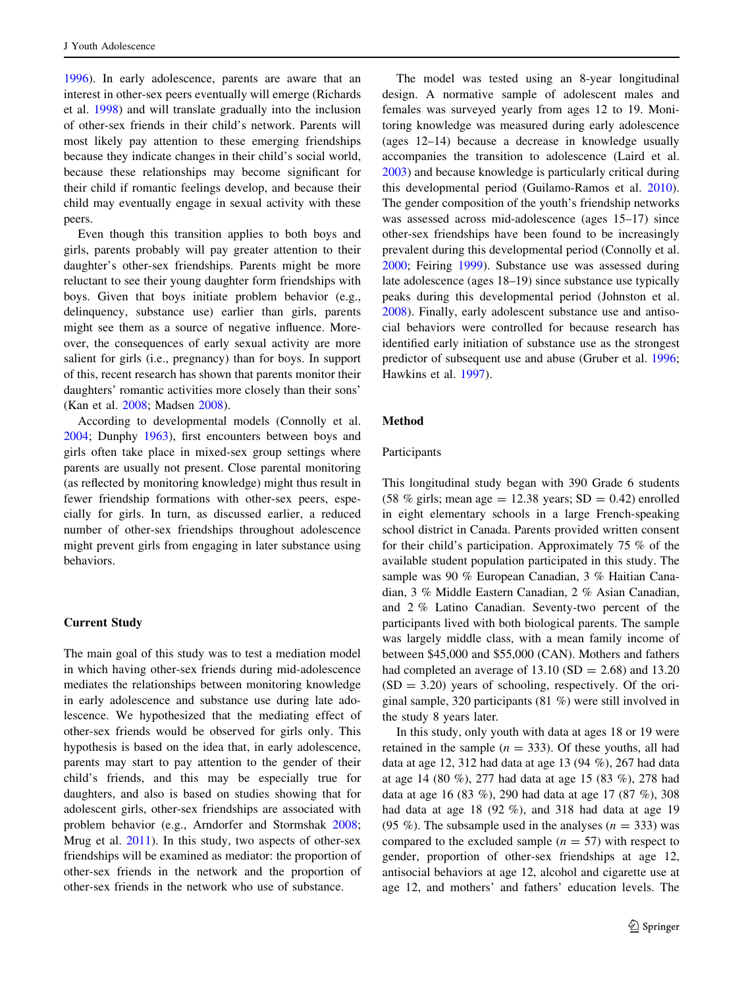[1996\)](#page-12-0). In early adolescence, parents are aware that an interest in other-sex peers eventually will emerge (Richards et al. [1998](#page-13-0)) and will translate gradually into the inclusion of other-sex friends in their child's network. Parents will most likely pay attention to these emerging friendships because they indicate changes in their child's social world, because these relationships may become significant for their child if romantic feelings develop, and because their child may eventually engage in sexual activity with these peers.

Even though this transition applies to both boys and girls, parents probably will pay greater attention to their daughter's other-sex friendships. Parents might be more reluctant to see their young daughter form friendships with boys. Given that boys initiate problem behavior (e.g., delinquency, substance use) earlier than girls, parents might see them as a source of negative influence. Moreover, the consequences of early sexual activity are more salient for girls (i.e., pregnancy) than for boys. In support of this, recent research has shown that parents monitor their daughters' romantic activities more closely than their sons' (Kan et al. [2008;](#page-12-0) Madsen [2008\)](#page-12-0).

According to developmental models (Connolly et al. [2004;](#page-11-0) Dunphy [1963\)](#page-12-0), first encounters between boys and girls often take place in mixed-sex group settings where parents are usually not present. Close parental monitoring (as reflected by monitoring knowledge) might thus result in fewer friendship formations with other-sex peers, especially for girls. In turn, as discussed earlier, a reduced number of other-sex friendships throughout adolescence might prevent girls from engaging in later substance using behaviors.

#### Current Study

The main goal of this study was to test a mediation model in which having other-sex friends during mid-adolescence mediates the relationships between monitoring knowledge in early adolescence and substance use during late adolescence. We hypothesized that the mediating effect of other-sex friends would be observed for girls only. This hypothesis is based on the idea that, in early adolescence, parents may start to pay attention to the gender of their child's friends, and this may be especially true for daughters, and also is based on studies showing that for adolescent girls, other-sex friendships are associated with problem behavior (e.g., Arndorfer and Stormshak [2008](#page-11-0); Mrug et al. [2011](#page-12-0)). In this study, two aspects of other-sex friendships will be examined as mediator: the proportion of other-sex friends in the network and the proportion of other-sex friends in the network who use of substance.

The model was tested using an 8-year longitudinal design. A normative sample of adolescent males and females was surveyed yearly from ages 12 to 19. Monitoring knowledge was measured during early adolescence (ages 12–14) because a decrease in knowledge usually accompanies the transition to adolescence (Laird et al. [2003](#page-12-0)) and because knowledge is particularly critical during this developmental period (Guilamo-Ramos et al. [2010](#page-12-0)). The gender composition of the youth's friendship networks was assessed across mid-adolescence (ages 15–17) since other-sex friendships have been found to be increasingly prevalent during this developmental period (Connolly et al. [2000](#page-11-0); Feiring [1999\)](#page-12-0). Substance use was assessed during late adolescence (ages 18–19) since substance use typically peaks during this developmental period (Johnston et al. [2008](#page-12-0)). Finally, early adolescent substance use and antisocial behaviors were controlled for because research has identified early initiation of substance use as the strongest predictor of subsequent use and abuse (Gruber et al. [1996](#page-12-0); Hawkins et al. [1997\)](#page-12-0).

#### Method

#### Participants

This longitudinal study began with 390 Grade 6 students (58 % girls; mean age  $= 12.38$  years; SD  $= 0.42$ ) enrolled in eight elementary schools in a large French-speaking school district in Canada. Parents provided written consent for their child's participation. Approximately 75 % of the available student population participated in this study. The sample was 90 % European Canadian, 3 % Haitian Canadian, 3 % Middle Eastern Canadian, 2 % Asian Canadian, and 2 % Latino Canadian. Seventy-two percent of the participants lived with both biological parents. The sample was largely middle class, with a mean family income of between \$45,000 and \$55,000 (CAN). Mothers and fathers had completed an average of  $13.10$  (SD = 2.68) and  $13.20$  $(SD = 3.20)$  years of schooling, respectively. Of the original sample, 320 participants (81 %) were still involved in the study 8 years later.

In this study, only youth with data at ages 18 or 19 were retained in the sample  $(n = 333)$ . Of these youths, all had data at age 12, 312 had data at age 13 (94 %), 267 had data at age 14 (80 %), 277 had data at age 15 (83 %), 278 had data at age 16 (83 %), 290 had data at age 17 (87 %), 308 had data at age 18 (92 %), and 318 had data at age 19 (95 %). The subsample used in the analyses  $(n = 333)$  was compared to the excluded sample ( $n = 57$ ) with respect to gender, proportion of other-sex friendships at age 12, antisocial behaviors at age 12, alcohol and cigarette use at age 12, and mothers' and fathers' education levels. The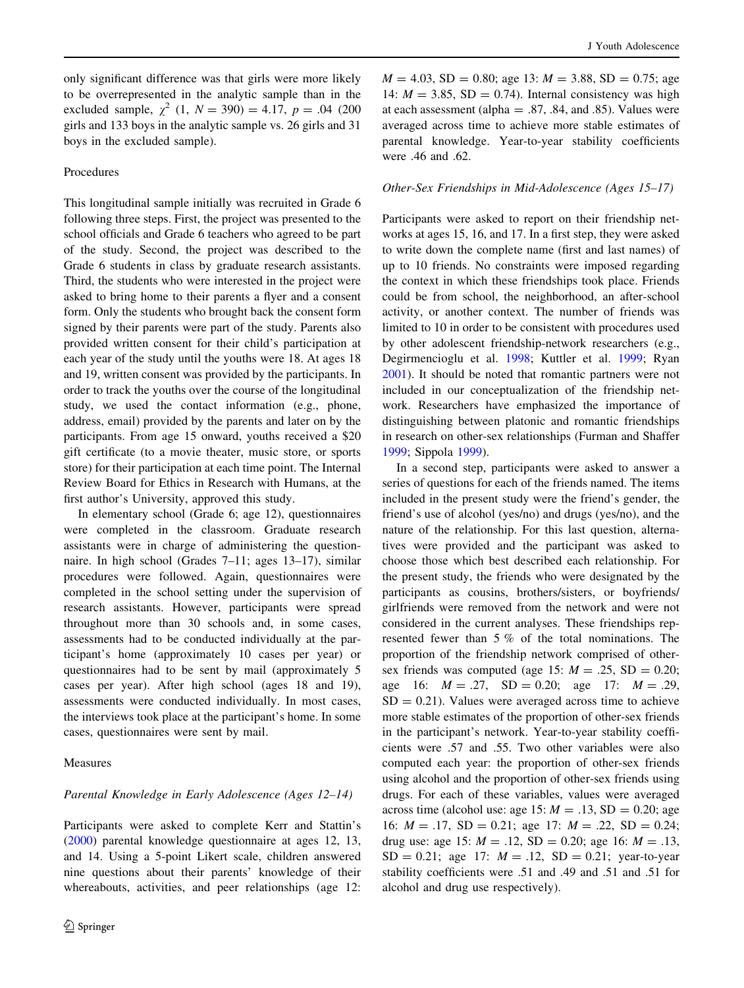only significant difference was that girls were more likely to be overrepresented in the analytic sample than in the excluded sample,  $\chi^2$  (1,  $N = 390$ ) = 4.17,  $p = .04$  (200) girls and 133 boys in the analytic sample vs. 26 girls and 31 boys in the excluded sample).

# Procedures

This longitudinal sample initially was recruited in Grade 6 following three steps. First, the project was presented to the school officials and Grade 6 teachers who agreed to be part of the study. Second, the project was described to the Grade 6 students in class by graduate research assistants. Third, the students who were interested in the project were asked to bring home to their parents a flyer and a consent form. Only the students who brought back the consent form signed by their parents were part of the study. Parents also provided written consent for their child's participation at each year of the study until the youths were 18. At ages 18 and 19, written consent was provided by the participants. In order to track the youths over the course of the longitudinal study, we used the contact information (e.g., phone, address, email) provided by the parents and later on by the participants. From age 15 onward, youths received a \$20 gift certificate (to a movie theater, music store, or sports store) for their participation at each time point. The Internal Review Board for Ethics in Research with Humans, at the first author's University, approved this study.

In elementary school (Grade 6; age 12), questionnaires were completed in the classroom. Graduate research assistants were in charge of administering the questionnaire. In high school (Grades 7–11; ages 13–17), similar procedures were followed. Again, questionnaires were completed in the school setting under the supervision of research assistants. However, participants were spread throughout more than 30 schools and, in some cases, assessments had to be conducted individually at the participant's home (approximately 10 cases per year) or questionnaires had to be sent by mail (approximately 5 cases per year). After high school (ages 18 and 19), assessments were conducted individually. In most cases, the interviews took place at the participant's home. In some cases, questionnaires were sent by mail.

#### Measures

#### Parental Knowledge in Early Adolescence (Ages 12–14)

Participants were asked to complete Kerr and Stattin's [\(2000](#page-12-0)) parental knowledge questionnaire at ages 12, 13, and 14. Using a 5-point Likert scale, children answered nine questions about their parents' knowledge of their whereabouts, activities, and peer relationships (age 12:  $M = 4.03$ , SD = 0.80; age 13:  $M = 3.88$ , SD = 0.75; age 14:  $M = 3.85$ , SD = 0.74). Internal consistency was high at each assessment (alpha  $=$  .87, .84, and .85). Values were averaged across time to achieve more stable estimates of parental knowledge. Year-to-year stability coefficients were .46 and .62.

#### Other-Sex Friendships in Mid-Adolescence (Ages 15–17)

Participants were asked to report on their friendship networks at ages 15, 16, and 17. In a first step, they were asked to write down the complete name (first and last names) of up to 10 friends. No constraints were imposed regarding the context in which these friendships took place. Friends could be from school, the neighborhood, an after-school activity, or another context. The number of friends was limited to 10 in order to be consistent with procedures used by other adolescent friendship-network researchers (e.g., Degirmencioglu et al. [1998;](#page-12-0) Kuttler et al. [1999;](#page-12-0) Ryan [2001](#page-13-0)). It should be noted that romantic partners were not included in our conceptualization of the friendship network. Researchers have emphasized the importance of distinguishing between platonic and romantic friendships in research on other-sex relationships (Furman and Shaffer [1999](#page-12-0); Sippola [1999](#page-13-0)).

In a second step, participants were asked to answer a series of questions for each of the friends named. The items included in the present study were the friend's gender, the friend's use of alcohol (yes/no) and drugs (yes/no), and the nature of the relationship. For this last question, alternatives were provided and the participant was asked to choose those which best described each relationship. For the present study, the friends who were designated by the participants as cousins, brothers/sisters, or boyfriends/ girlfriends were removed from the network and were not considered in the current analyses. These friendships represented fewer than 5 % of the total nominations. The proportion of the friendship network comprised of othersex friends was computed (age 15:  $M = .25$ , SD = 0.20; age 16:  $M = .27$ , SD = 0.20; age 17:  $M = .29$ ,  $SD = 0.21$ ). Values were averaged across time to achieve more stable estimates of the proportion of other-sex friends in the participant's network. Year-to-year stability coefficients were .57 and .55. Two other variables were also computed each year: the proportion of other-sex friends using alcohol and the proportion of other-sex friends using drugs. For each of these variables, values were averaged across time (alcohol use: age 15:  $M = .13$ , SD = 0.20; age 16:  $M = .17$ , SD = 0.21; age 17:  $M = .22$ , SD = 0.24; drug use: age 15:  $M = .12$ , SD = 0.20; age 16:  $M = .13$ , SD = 0.21; age 17:  $M = .12$ , SD = 0.21; year-to-year stability coefficients were .51 and .49 and .51 and .51 for alcohol and drug use respectively).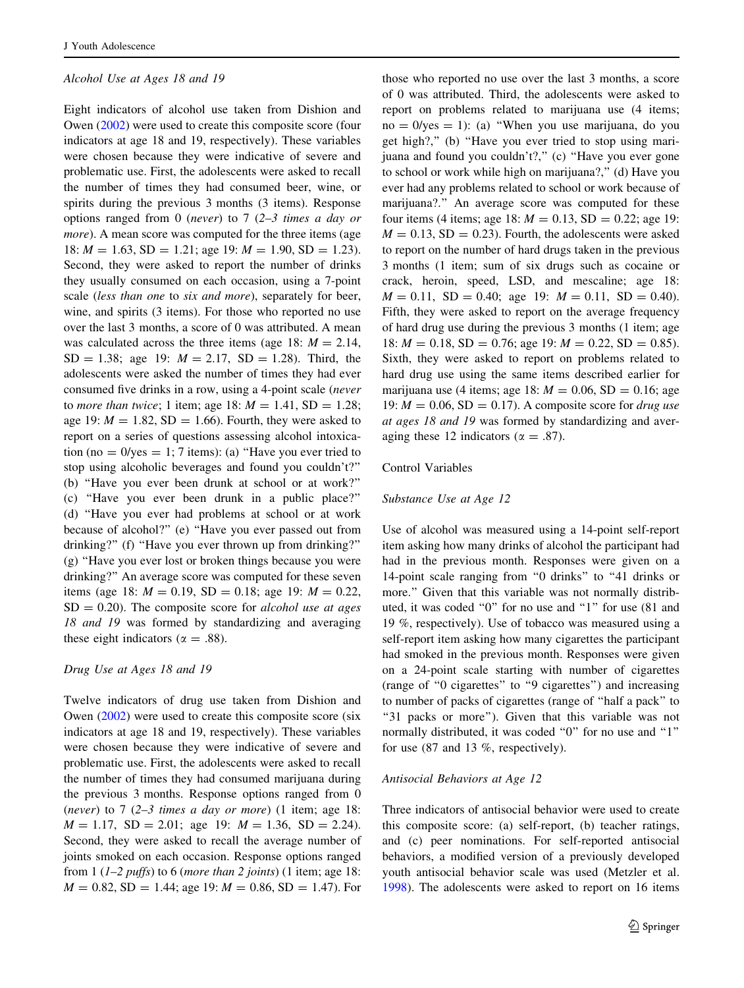#### Alcohol Use at Ages 18 and 19

Eight indicators of alcohol use taken from Dishion and Owen ([2002\)](#page-12-0) were used to create this composite score (four indicators at age 18 and 19, respectively). These variables were chosen because they were indicative of severe and problematic use. First, the adolescents were asked to recall the number of times they had consumed beer, wine, or spirits during the previous 3 months (3 items). Response options ranged from 0 (never) to 7 (2–3 times a day or more). A mean score was computed for the three items (age 18:  $M = 1.63$ , SD = 1.21; age 19:  $M = 1.90$ , SD = 1.23). Second, they were asked to report the number of drinks they usually consumed on each occasion, using a 7-point scale (less than one to six and more), separately for beer, wine, and spirits (3 items). For those who reported no use over the last 3 months, a score of 0 was attributed. A mean was calculated across the three items (age 18:  $M = 2.14$ ,  $SD = 1.38$ ; age 19:  $M = 2.17$ ,  $SD = 1.28$ ). Third, the adolescents were asked the number of times they had ever consumed five drinks in a row, using a 4-point scale (never to *more than twice*; 1 item; age 18:  $M = 1.41$ , SD = 1.28; age 19:  $M = 1.82$ , SD = 1.66). Fourth, they were asked to report on a series of questions assessing alcohol intoxication (no  $= 0$ /yes  $= 1$ ; 7 items): (a) "Have you ever tried to stop using alcoholic beverages and found you couldn't?'' (b) ''Have you ever been drunk at school or at work?'' (c) ''Have you ever been drunk in a public place?'' (d) ''Have you ever had problems at school or at work because of alcohol?'' (e) ''Have you ever passed out from drinking?" (f) "Have you ever thrown up from drinking?" (g) ''Have you ever lost or broken things because you were drinking?'' An average score was computed for these seven items (age 18:  $M = 0.19$ , SD = 0.18; age 19:  $M = 0.22$ ,  $SD = 0.20$ ). The composite score for *alcohol use at ages* 18 and 19 was formed by standardizing and averaging these eight indicators ( $\alpha = .88$ ).

## Drug Use at Ages 18 and 19

Twelve indicators of drug use taken from Dishion and Owen [\(2002](#page-12-0)) were used to create this composite score (six indicators at age 18 and 19, respectively). These variables were chosen because they were indicative of severe and problematic use. First, the adolescents were asked to recall the number of times they had consumed marijuana during the previous 3 months. Response options ranged from 0 (never) to  $7$  (2–3 times a day or more) (1 item; age 18:  $M = 1.17$ , SD = 2.01; age 19:  $M = 1.36$ , SD = 2.24). Second, they were asked to recall the average number of joints smoked on each occasion. Response options ranged from 1 (1–2 puffs) to 6 (more than 2 joints) (1 item; age 18:  $M = 0.82$ , SD = 1.44; age 19:  $M = 0.86$ , SD = 1.47). For

those who reported no use over the last 3 months, a score of 0 was attributed. Third, the adolescents were asked to report on problems related to marijuana use (4 items;  $no = 0/yes = 1$ : (a) "When you use marijuana, do you get high?,'' (b) ''Have you ever tried to stop using marijuana and found you couldn't?," (c) "Have you ever gone to school or work while high on marijuana?,'' (d) Have you ever had any problems related to school or work because of marijuana?.'' An average score was computed for these four items (4 items; age 18:  $M = 0.13$ , SD = 0.22; age 19:  $M = 0.13$ , SD = 0.23). Fourth, the adolescents were asked to report on the number of hard drugs taken in the previous 3 months (1 item; sum of six drugs such as cocaine or crack, heroin, speed, LSD, and mescaline; age 18:  $M = 0.11$ , SD = 0.40; age 19:  $M = 0.11$ , SD = 0.40). Fifth, they were asked to report on the average frequency of hard drug use during the previous 3 months (1 item; age 18:  $M = 0.18$ , SD = 0.76; age 19:  $M = 0.22$ , SD = 0.85). Sixth, they were asked to report on problems related to hard drug use using the same items described earlier for marijuana use (4 items; age 18:  $M = 0.06$ , SD = 0.16; age 19:  $M = 0.06$ , SD = 0.17). A composite score for *drug use* at ages 18 and 19 was formed by standardizing and averaging these 12 indicators ( $\alpha = .87$ ).

## Control Variables

#### Substance Use at Age 12

Use of alcohol was measured using a 14-point self-report item asking how many drinks of alcohol the participant had had in the previous month. Responses were given on a 14-point scale ranging from "0 drinks" to "41 drinks or more.'' Given that this variable was not normally distributed, it was coded "0" for no use and "1" for use (81 and 19 %, respectively). Use of tobacco was measured using a self-report item asking how many cigarettes the participant had smoked in the previous month. Responses were given on a 24-point scale starting with number of cigarettes (range of ''0 cigarettes'' to ''9 cigarettes'') and increasing to number of packs of cigarettes (range of ''half a pack'' to ''31 packs or more''). Given that this variable was not normally distributed, it was coded "0" for no use and "1" for use (87 and 13 %, respectively).

#### Antisocial Behaviors at Age 12

Three indicators of antisocial behavior were used to create this composite score: (a) self-report, (b) teacher ratings, and (c) peer nominations. For self-reported antisocial behaviors, a modified version of a previously developed youth antisocial behavior scale was used (Metzler et al. [1998](#page-12-0)). The adolescents were asked to report on 16 items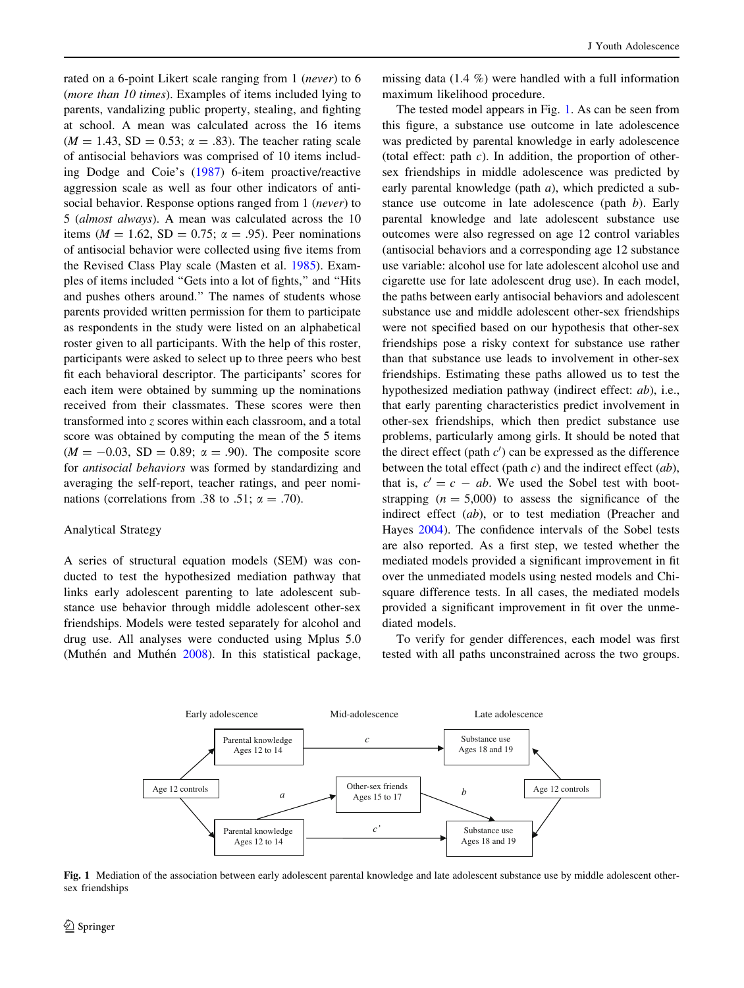rated on a 6-point Likert scale ranging from 1 (never) to 6 (more than 10 times). Examples of items included lying to parents, vandalizing public property, stealing, and fighting at school. A mean was calculated across the 16 items  $(M = 1.43, SD = 0.53; \alpha = .83)$ . The teacher rating scale of antisocial behaviors was comprised of 10 items including Dodge and Coie's ([1987\)](#page-12-0) 6-item proactive/reactive aggression scale as well as four other indicators of antisocial behavior. Response options ranged from 1 (never) to 5 (almost always). A mean was calculated across the 10 items ( $M = 1.62$ , SD = 0.75;  $\alpha = .95$ ). Peer nominations of antisocial behavior were collected using five items from the Revised Class Play scale (Masten et al. [1985](#page-12-0)). Examples of items included ''Gets into a lot of fights,'' and ''Hits and pushes others around.'' The names of students whose parents provided written permission for them to participate as respondents in the study were listed on an alphabetical roster given to all participants. With the help of this roster, participants were asked to select up to three peers who best fit each behavioral descriptor. The participants' scores for each item were obtained by summing up the nominations received from their classmates. These scores were then transformed into z scores within each classroom, and a total score was obtained by computing the mean of the 5 items  $(M = -0.03, SD = 0.89; \alpha = .90)$ . The composite score for antisocial behaviors was formed by standardizing and averaging the self-report, teacher ratings, and peer nominations (correlations from .38 to .51;  $\alpha = .70$ ).

## Analytical Strategy

A series of structural equation models (SEM) was conducted to test the hypothesized mediation pathway that links early adolescent parenting to late adolescent substance use behavior through middle adolescent other-sex friendships. Models were tested separately for alcohol and drug use. All analyses were conducted using Mplus 5.0 (Muthén and Muthén [2008\)](#page-12-0). In this statistical package,

missing data (1.4 %) were handled with a full information maximum likelihood procedure.

The tested model appears in Fig. 1. As can be seen from this figure, a substance use outcome in late adolescence was predicted by parental knowledge in early adolescence (total effect: path  $c$ ). In addition, the proportion of othersex friendships in middle adolescence was predicted by early parental knowledge (path a), which predicted a substance use outcome in late adolescence (path b). Early parental knowledge and late adolescent substance use outcomes were also regressed on age 12 control variables (antisocial behaviors and a corresponding age 12 substance use variable: alcohol use for late adolescent alcohol use and cigarette use for late adolescent drug use). In each model, the paths between early antisocial behaviors and adolescent substance use and middle adolescent other-sex friendships were not specified based on our hypothesis that other-sex friendships pose a risky context for substance use rather than that substance use leads to involvement in other-sex friendships. Estimating these paths allowed us to test the hypothesized mediation pathway (indirect effect: ab), i.e., that early parenting characteristics predict involvement in other-sex friendships, which then predict substance use problems, particularly among girls. It should be noted that the direct effect (path  $c'$ ) can be expressed as the difference between the total effect (path  $c$ ) and the indirect effect (*ab*), that is,  $c' = c - ab$ . We used the Sobel test with bootstrapping  $(n = 5,000)$  to assess the significance of the indirect effect (ab), or to test mediation (Preacher and Hayes [2004](#page-13-0)). The confidence intervals of the Sobel tests are also reported. As a first step, we tested whether the mediated models provided a significant improvement in fit over the unmediated models using nested models and Chisquare difference tests. In all cases, the mediated models provided a significant improvement in fit over the unmediated models.

To verify for gender differences, each model was first tested with all paths unconstrained across the two groups.



Fig. 1 Mediation of the association between early adolescent parental knowledge and late adolescent substance use by middle adolescent othersex friendships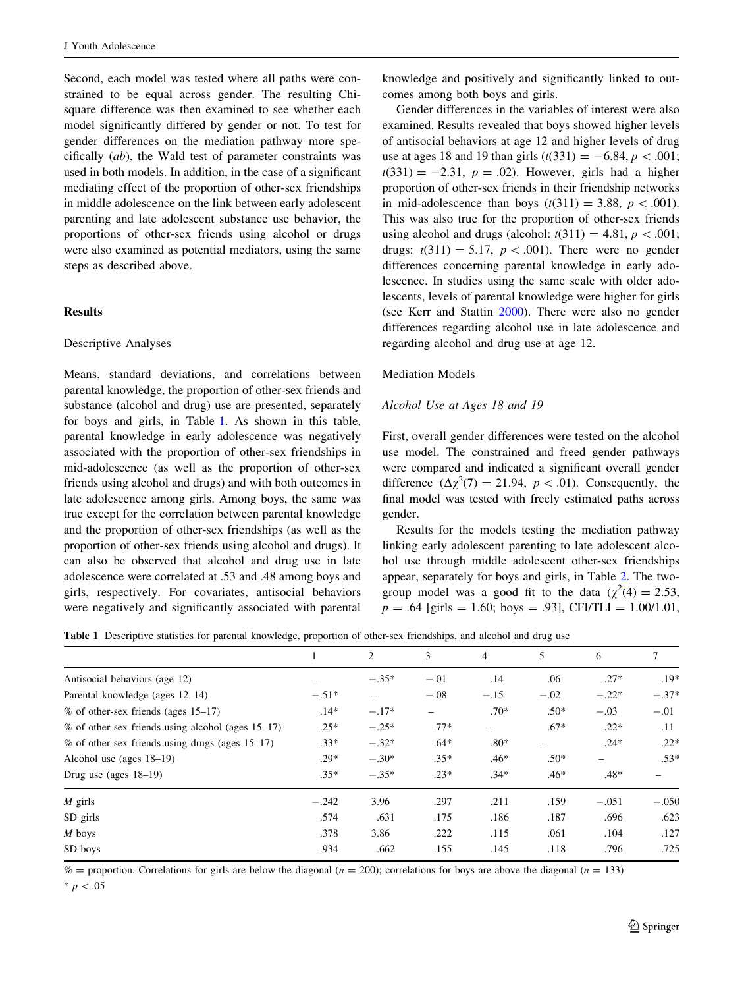Second, each model was tested where all paths were constrained to be equal across gender. The resulting Chisquare difference was then examined to see whether each model significantly differed by gender or not. To test for gender differences on the mediation pathway more specifically (ab), the Wald test of parameter constraints was used in both models. In addition, in the case of a significant mediating effect of the proportion of other-sex friendships in middle adolescence on the link between early adolescent parenting and late adolescent substance use behavior, the proportions of other-sex friends using alcohol or drugs were also examined as potential mediators, using the same steps as described above.

## Results

#### Descriptive Analyses

Means, standard deviations, and correlations between parental knowledge, the proportion of other-sex friends and substance (alcohol and drug) use are presented, separately for boys and girls, in Table 1. As shown in this table, parental knowledge in early adolescence was negatively associated with the proportion of other-sex friendships in mid-adolescence (as well as the proportion of other-sex friends using alcohol and drugs) and with both outcomes in late adolescence among girls. Among boys, the same was true except for the correlation between parental knowledge and the proportion of other-sex friendships (as well as the proportion of other-sex friends using alcohol and drugs). It can also be observed that alcohol and drug use in late adolescence were correlated at .53 and .48 among boys and girls, respectively. For covariates, antisocial behaviors were negatively and significantly associated with parental knowledge and positively and significantly linked to outcomes among both boys and girls.

Gender differences in the variables of interest were also examined. Results revealed that boys showed higher levels of antisocial behaviors at age 12 and higher levels of drug use at ages 18 and 19 than girls  $(t(331) = -6.84, p < .001;$  $t(331) = -2.31$ ,  $p = .02$ ). However, girls had a higher proportion of other-sex friends in their friendship networks in mid-adolescence than boys  $(t(311) = 3.88, p < .001)$ . This was also true for the proportion of other-sex friends using alcohol and drugs (alcohol:  $t(311) = 4.81$ ,  $p < .001$ ; drugs:  $t(311) = 5.17$ ,  $p < .001$ ). There were no gender differences concerning parental knowledge in early adolescence. In studies using the same scale with older adolescents, levels of parental knowledge were higher for girls (see Kerr and Stattin [2000](#page-12-0)). There were also no gender differences regarding alcohol use in late adolescence and regarding alcohol and drug use at age 12.

#### Mediation Models

#### Alcohol Use at Ages 18 and 19

First, overall gender differences were tested on the alcohol use model. The constrained and freed gender pathways were compared and indicated a significant overall gender difference  $(\Delta \chi^2(7) = 21.94, p < .01)$ . Consequently, the final model was tested with freely estimated paths across gender.

Results for the models testing the mediation pathway linking early adolescent parenting to late adolescent alcohol use through middle adolescent other-sex friendships appear, separately for boys and girls, in Table [2.](#page-7-0) The twogroup model was a good fit to the data ( $\chi^2(4) = 2.53$ ,  $p = .64$  [girls = 1.60; boys = .93], CFI/TLI = 1.00/1.01,

Table 1 Descriptive statistics for parental knowledge, proportion of other-sex friendships, and alcohol and drug use

|                                                     |         | 2                        | 3                        | $\overline{4}$           | 5      | 6                        | 7       |
|-----------------------------------------------------|---------|--------------------------|--------------------------|--------------------------|--------|--------------------------|---------|
| Antisocial behaviors (age 12)                       |         | $-.35*$                  | $-.01$                   | .14                      | .06    | $.27*$                   | $.19*$  |
| Parental knowledge (ages 12–14)                     | $-.51*$ | $\overline{\phantom{0}}$ | $-.08$                   | $-.15$                   | $-.02$ | $-.22*$                  | $-.37*$ |
| $%$ of other-sex friends (ages 15–17)               | $.14*$  | $-.17*$                  | $\overline{\phantom{0}}$ | $.70*$                   | $.50*$ | $-.03$                   | $-.01$  |
| $%$ of other-sex friends using alcohol (ages 15–17) | $.25*$  | $-.25*$                  | $.77*$                   | $\overline{\phantom{0}}$ | $.67*$ | $.22*$                   | .11     |
| $%$ of other-sex friends using drugs (ages 15–17)   | $.33*$  | $-.32*$                  | $.64*$                   | $.80*$                   | —      | $.24*$                   | $.22*$  |
| Alcohol use (ages $18-19$ )                         | $.29*$  | $-.30*$                  | $.35*$                   | $.46*$                   | $.50*$ | $\overline{\phantom{0}}$ | $.53*$  |
| Drug use (ages $18-19$ )                            | $.35*$  | $-.35*$                  | $.23*$                   | $.34*$                   | $.46*$ | $.48*$                   |         |
| $M$ girls                                           | $-.242$ | 3.96                     | .297                     | .211                     | .159   | $-.051$                  | $-.050$ |
| SD girls                                            | .574    | .631                     | .175                     | .186                     | .187   | .696                     | .623    |
| $M$ boys                                            | .378    | 3.86                     | .222                     | .115                     | .061   | .104                     | .127    |
| SD boys                                             | .934    | .662                     | .155                     | .145                     | .118   | .796                     | .725    |

 $%$  = proportion. Correlations for girls are below the diagonal (n = 200); correlations for boys are above the diagonal (n = 133)  $* p < .05$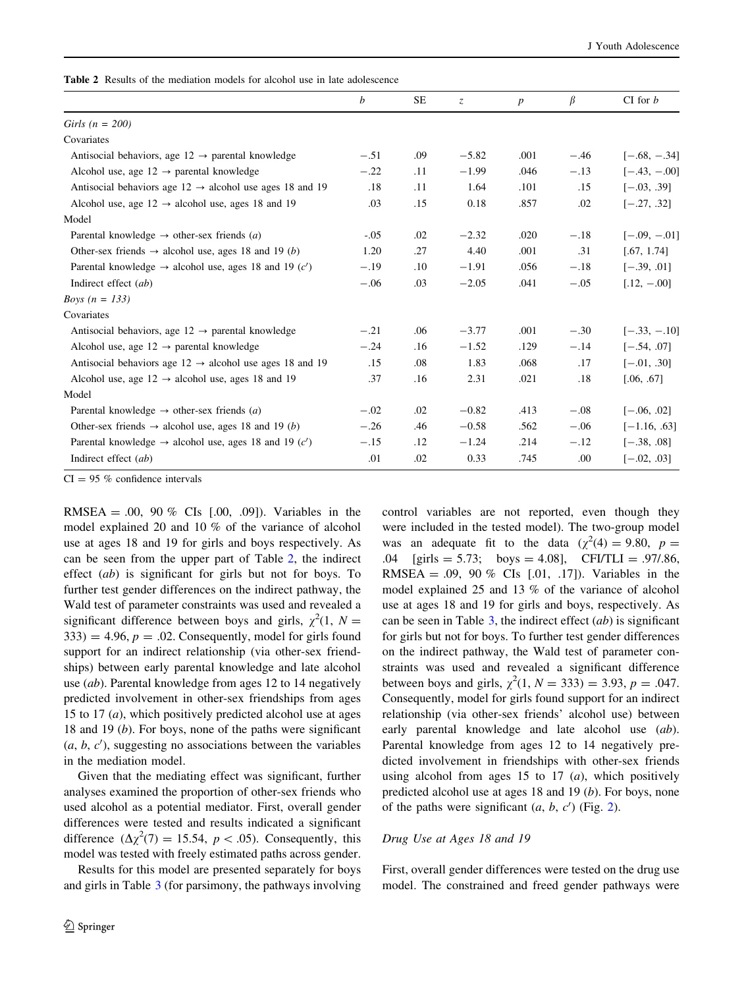<span id="page-7-0"></span>Table 2 Results of the mediation models for alcohol use in late adolescence

|                                                                      | b      | SE      | $\mathcal{Z}$ | $\boldsymbol{p}$ | $\beta$ | $CI$ for $b$   |
|----------------------------------------------------------------------|--------|---------|---------------|------------------|---------|----------------|
| Girls $(n = 200)$                                                    |        |         |               |                  |         |                |
| Covariates                                                           |        |         |               |                  |         |                |
| Antisocial behaviors, age $12 \rightarrow$ parental knowledge        | $-.51$ | .09     | $-5.82$       | .001             | $-.46$  | $[-.68, -.34]$ |
| Alcohol use, age $12 \rightarrow$ parental knowledge                 | $-.22$ | .11     | $-1.99$       | .046             | $-.13$  | $[-.43, -.00]$ |
| Antisocial behaviors age $12 \rightarrow$ alcohol use ages 18 and 19 | .18    | .11     | 1.64          | .101             | .15     | $[-.03, .39]$  |
| Alcohol use, age $12 \rightarrow$ alcohol use, ages 18 and 19        | .03    | .15     | 0.18          | .857             | .02     | $[-.27, .32]$  |
| Model                                                                |        |         |               |                  |         |                |
| Parental knowledge $\rightarrow$ other-sex friends ( <i>a</i> )      | $-.05$ | .02     | $-2.32$       | .020             | $-.18$  | $[-.09, -.01]$ |
| Other-sex friends $\rightarrow$ alcohol use, ages 18 and 19 (b)      | 1.20   | .27     | 4.40          | .001             | .31     | [.67, 1.74]    |
| Parental knowledge $\rightarrow$ alcohol use, ages 18 and 19 (c')    | $-.19$ | .10     | $-1.91$       | .056             | $-.18$  | $[-.39, .01]$  |
| Indirect effect (ab)                                                 | $-.06$ | .03     | $-2.05$       | .041             | $-.05$  | $[.12, -.00]$  |
| <i>Boys</i> $(n = 133)$                                              |        |         |               |                  |         |                |
| Covariates                                                           |        |         |               |                  |         |                |
| Antisocial behaviors, age $12 \rightarrow$ parental knowledge        | $-.21$ | .06     | $-3.77$       | .001             | $-.30$  | $[-.33, -.10]$ |
| Alcohol use, age $12 \rightarrow$ parental knowledge                 | $-.24$ | .16     | $-1.52$       | .129             | $-.14$  | $[-.54, .07]$  |
| Antisocial behaviors age $12 \rightarrow$ alcohol use ages 18 and 19 | .15    | .08     | 1.83          | .068             | .17     | $[-.01, .30]$  |
| Alcohol use, age $12 \rightarrow$ alcohol use, ages 18 and 19        | .37    | .16     | 2.31          | .021             | .18     | [.06, .67]     |
| Model                                                                |        |         |               |                  |         |                |
| Parental knowledge $\rightarrow$ other-sex friends (a)               | $-.02$ | .02     | $-0.82$       | .413             | $-.08$  | $[-.06, .02]$  |
| Other-sex friends $\rightarrow$ alcohol use, ages 18 and 19 (b)      | $-.26$ | .46     | $-0.58$       | .562             | $-.06$  | $[-1.16, .63]$ |
| Parental knowledge $\rightarrow$ alcohol use, ages 18 and 19 (c')    | $-.15$ | $.12\,$ | $-1.24$       | .214             | $-.12$  | $[-.38, .08]$  |
| Indirect effect (ab)                                                 | .01    | .02     | 0.33          | .745             | .00     | $[-.02, .03]$  |

 $CI = 95 %$  confidence intervals

RMSEA = .00, 90 % CIs  $[.00, .09]$ . Variables in the model explained 20 and 10 % of the variance of alcohol use at ages 18 and 19 for girls and boys respectively. As can be seen from the upper part of Table 2, the indirect effect (ab) is significant for girls but not for boys. To further test gender differences on the indirect pathway, the Wald test of parameter constraints was used and revealed a significant difference between boys and girls,  $\chi^2(1, N =$  $333$ ) = 4.96,  $p = 0.02$ . Consequently, model for girls found support for an indirect relationship (via other-sex friendships) between early parental knowledge and late alcohol use (ab). Parental knowledge from ages 12 to 14 negatively predicted involvement in other-sex friendships from ages 15 to 17  $(a)$ , which positively predicted alcohol use at ages 18 and 19 (b). For boys, none of the paths were significant  $(a, b, c')$ , suggesting no associations between the variables in the mediation model.

Given that the mediating effect was significant, further analyses examined the proportion of other-sex friends who used alcohol as a potential mediator. First, overall gender differences were tested and results indicated a significant difference  $(\Delta \chi^2(7) = 15.54, p < .05)$ . Consequently, this model was tested with freely estimated paths across gender.

Results for this model are presented separately for boys and girls in Table [3](#page-8-0) (for parsimony, the pathways involving

control variables are not reported, even though they were included in the tested model). The two-group model was an adequate fit to the data  $(\chi^2(4) = 9.80, p =$ .04  $[girls = 5.73; boys = 4.08]$ , CFI/TLI = .97/.86, RMSEA = .09, 90 % CIs  $[0.01, 0.17]$ . Variables in the model explained 25 and 13 % of the variance of alcohol use at ages 18 and 19 for girls and boys, respectively. As can be seen in Table  $3$ , the indirect effect  $(ab)$  is significant for girls but not for boys. To further test gender differences on the indirect pathway, the Wald test of parameter constraints was used and revealed a significant difference between boys and girls,  $\chi^2(1, N = 333) = 3.93, p = .047$ . Consequently, model for girls found support for an indirect relationship (via other-sex friends' alcohol use) between early parental knowledge and late alcohol use (ab). Parental knowledge from ages 12 to 14 negatively predicted involvement in friendships with other-sex friends using alcohol from ages 15 to 17  $(a)$ , which positively predicted alcohol use at ages 18 and 19 (b). For boys, none of the paths were significant  $(a, b, c')$  (Fig. [2](#page-8-0)).

#### Drug Use at Ages 18 and 19

First, overall gender differences were tested on the drug use model. The constrained and freed gender pathways were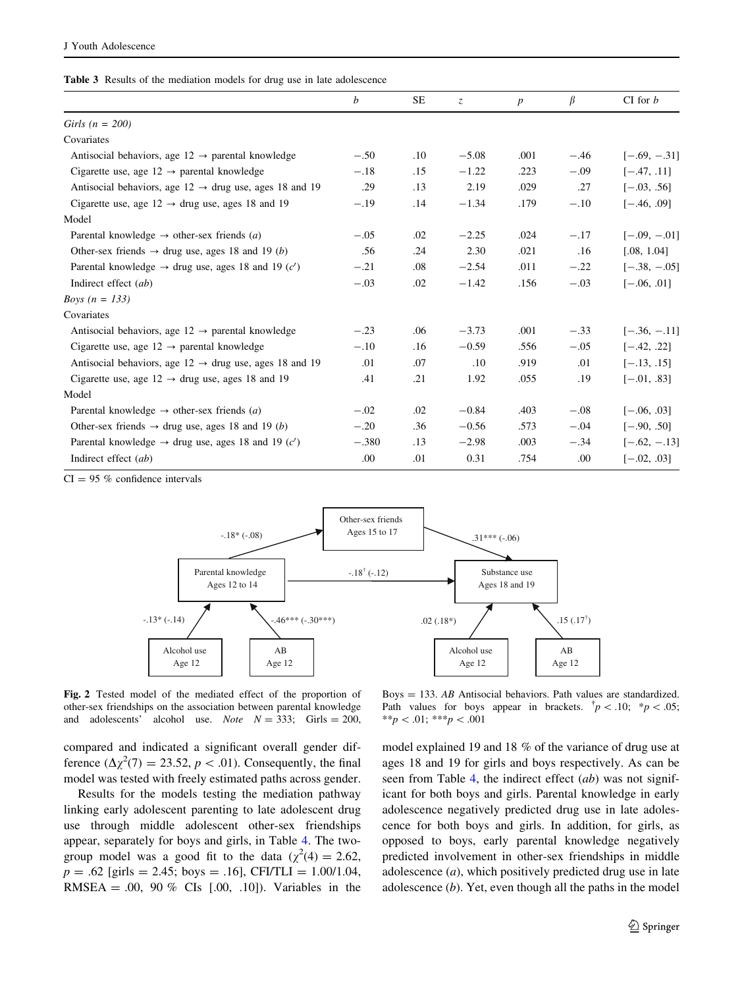<span id="page-8-0"></span>

|  | <b>Table 3</b> Results of the mediation models for drug use in late adolescence |  |  |  |  |  |  |  |  |  |
|--|---------------------------------------------------------------------------------|--|--|--|--|--|--|--|--|--|
|--|---------------------------------------------------------------------------------|--|--|--|--|--|--|--|--|--|

|                                                                     | b       | <b>SE</b> | $\mathcal{Z}$ | $\boldsymbol{p}$ | $\beta$ | $CI$ for $b$    |
|---------------------------------------------------------------------|---------|-----------|---------------|------------------|---------|-----------------|
| Girls $(n = 200)$                                                   |         |           |               |                  |         |                 |
| Covariates                                                          |         |           |               |                  |         |                 |
| Antisocial behaviors, age $12 \rightarrow$ parental knowledge       | $-.50$  | $.10\,$   | $-5.08$       | .001             | $-.46$  | $[-.69, -0.31]$ |
| Cigarette use, age $12 \rightarrow$ parental knowledge              | $-.18$  | .15       | $-1.22$       | .223             | $-.09$  | $[-.47, .11]$   |
| Antisocial behaviors, age $12 \rightarrow$ drug use, ages 18 and 19 | .29     | .13       | 2.19          | .029             | .27     | $[-.03, .56]$   |
| Cigarette use, age $12 \rightarrow$ drug use, ages 18 and 19        | $-.19$  | .14       | $-1.34$       | .179             | $-.10$  | $[-.46, .09]$   |
| Model                                                               |         |           |               |                  |         |                 |
| Parental knowledge $\rightarrow$ other-sex friends ( <i>a</i> )     | $-.05$  | .02       | $-2.25$       | .024             | $-.17$  | $[-.09, -.01]$  |
| Other-sex friends $\rightarrow$ drug use, ages 18 and 19 (b)        | .56     | .24       | 2.30          | .021             | .16     | [.08, 1.04]     |
| Parental knowledge $\rightarrow$ drug use, ages 18 and 19 (c')      | $-.21$  | .08       | $-2.54$       | .011             | $-.22$  | $[-.38, -.05]$  |
| Indirect effect (ab)                                                | $-.03$  | .02       | $-1.42$       | .156             | $-.03$  | $[-.06, .01]$   |
| <i>Boys</i> $(n = 133)$                                             |         |           |               |                  |         |                 |
| Covariates                                                          |         |           |               |                  |         |                 |
| Antisocial behaviors, age $12 \rightarrow$ parental knowledge       | $-.23$  | .06       | $-3.73$       | .001             | $-.33$  | $[-.36, -.11]$  |
| Cigarette use, age $12 \rightarrow$ parental knowledge              | $-.10$  | .16       | $-0.59$       | .556             | $-.05$  | $[-.42, .22]$   |
| Antisocial behaviors, age $12 \rightarrow$ drug use, ages 18 and 19 | .01     | .07       | .10           | .919             | .01     | $[-.13, .15]$   |
| Cigarette use, age $12 \rightarrow$ drug use, ages 18 and 19        | .41     | .21       | 1.92          | .055             | .19     | $[-.01, .83]$   |
| Model                                                               |         |           |               |                  |         |                 |
| Parental knowledge $\rightarrow$ other-sex friends ( <i>a</i> )     | $-.02$  | .02       | $-0.84$       | .403             | $-.08$  | $[-.06, .03]$   |
| Other-sex friends $\rightarrow$ drug use, ages 18 and 19 (b)        | $-.20$  | .36       | $-0.56$       | .573             | $-.04$  | $[-.90, .50]$   |
| Parental knowledge $\rightarrow$ drug use, ages 18 and 19 (c')      | $-.380$ | .13       | $-2.98$       | .003             | $-.34$  | $[-.62, -.13]$  |
| Indirect effect (ab)                                                | .00     | .01       | 0.31          | .754             | .00.    | $[-.02, .03]$   |

 $CI = 95\%$  confidence intervals



Fig. 2 Tested model of the mediated effect of the proportion of other-sex friendships on the association between parental knowledge and adolescents' alcohol use. Note  $N = 333$ ; Girls = 200,

compared and indicated a significant overall gender difference  $(\Delta \chi^2(7) = 23.52, p < .01)$ . Consequently, the final model was tested with freely estimated paths across gender.

Results for the models testing the mediation pathway linking early adolescent parenting to late adolescent drug use through middle adolescent other-sex friendships appear, separately for boys and girls, in Table [4.](#page-9-0) The twogroup model was a good fit to the data ( $\chi^2(4) = 2.62$ ,  $p = .62$  [girls = 2.45; boys = .16], CFI/TLI = 1.00/1.04, RMSEA = .00, 90 % CIs [.00, .10]). Variables in the

Boys = 133. AB Antisocial behaviors. Path values are standardized. Path values for boys appear in brackets.  $\frac{1}{p}$  < .10;  $\frac{*p}{ }$  < .05; \*\*p $< .01$ ; \*\*\*p $< .001$ 

model explained 19 and 18 % of the variance of drug use at ages 18 and 19 for girls and boys respectively. As can be seen from Table [4](#page-9-0), the indirect effect  $(ab)$  was not significant for both boys and girls. Parental knowledge in early adolescence negatively predicted drug use in late adolescence for both boys and girls. In addition, for girls, as opposed to boys, early parental knowledge negatively predicted involvement in other-sex friendships in middle adolescence  $(a)$ , which positively predicted drug use in late adolescence (b). Yet, even though all the paths in the model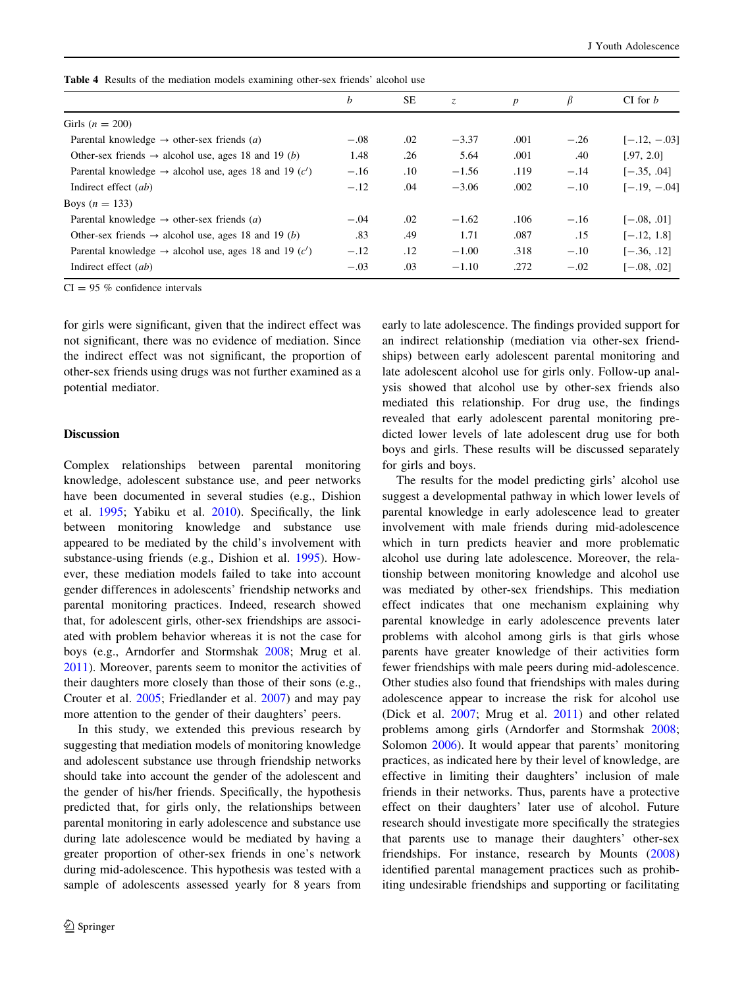<span id="page-9-0"></span>Table 4 Results of the mediation models examining other-sex friends' alcohol use

|                                                                   | b      | SE. | $Z_{\rm c}$ | $\boldsymbol{p}$ | β      | $CI$ for $b$   |  |  |
|-------------------------------------------------------------------|--------|-----|-------------|------------------|--------|----------------|--|--|
| Girls $(n = 200)$                                                 |        |     |             |                  |        |                |  |  |
| Parental knowledge $\rightarrow$ other-sex friends ( <i>a</i> )   | $-.08$ | .02 | $-3.37$     | .001             | $-.26$ | $[-.12, -.03]$ |  |  |
| Other-sex friends $\rightarrow$ alcohol use, ages 18 and 19 (b)   | 1.48   | .26 | 5.64        | .001             | .40    | [.97, 2.0]     |  |  |
| Parental knowledge $\rightarrow$ alcohol use, ages 18 and 19 (c') | $-.16$ | .10 | $-1.56$     | .119             | $-.14$ | $[-.35, .04]$  |  |  |
| Indirect effect (ab)                                              | $-.12$ | .04 | $-3.06$     | .002             | $-.10$ | $[-.19, -.04]$ |  |  |
| Boys $(n = 133)$                                                  |        |     |             |                  |        |                |  |  |
| Parental knowledge $\rightarrow$ other-sex friends ( <i>a</i> )   | $-.04$ | .02 | $-1.62$     | .106             | $-.16$ | $[-.08, .01]$  |  |  |
| Other-sex friends $\rightarrow$ alcohol use, ages 18 and 19 (b)   | .83    | .49 | 1.71        | .087             | .15    | $[-.12, 1.8]$  |  |  |
| Parental knowledge $\rightarrow$ alcohol use, ages 18 and 19 (c') | $-.12$ | .12 | $-1.00$     | .318             | $-.10$ | $[-.36, .12]$  |  |  |
| Indirect effect (ab)                                              | $-.03$ | .03 | $-1.10$     | .272             | $-.02$ | $[-.08, .02]$  |  |  |
|                                                                   |        |     |             |                  |        |                |  |  |

 $CI = 95\%$  confidence intervals

for girls were significant, given that the indirect effect was not significant, there was no evidence of mediation. Since the indirect effect was not significant, the proportion of other-sex friends using drugs was not further examined as a potential mediator.

#### **Discussion**

Complex relationships between parental monitoring knowledge, adolescent substance use, and peer networks have been documented in several studies (e.g., Dishion et al. [1995;](#page-12-0) Yabiku et al. [2010\)](#page-13-0). Specifically, the link between monitoring knowledge and substance use appeared to be mediated by the child's involvement with substance-using friends (e.g., Dishion et al. [1995](#page-12-0)). However, these mediation models failed to take into account gender differences in adolescents' friendship networks and parental monitoring practices. Indeed, research showed that, for adolescent girls, other-sex friendships are associated with problem behavior whereas it is not the case for boys (e.g., Arndorfer and Stormshak [2008](#page-11-0); Mrug et al. [2011\)](#page-12-0). Moreover, parents seem to monitor the activities of their daughters more closely than those of their sons (e.g., Crouter et al. [2005](#page-11-0); Friedlander et al. [2007](#page-12-0)) and may pay more attention to the gender of their daughters' peers.

In this study, we extended this previous research by suggesting that mediation models of monitoring knowledge and adolescent substance use through friendship networks should take into account the gender of the adolescent and the gender of his/her friends. Specifically, the hypothesis predicted that, for girls only, the relationships between parental monitoring in early adolescence and substance use during late adolescence would be mediated by having a greater proportion of other-sex friends in one's network during mid-adolescence. This hypothesis was tested with a sample of adolescents assessed yearly for 8 years from early to late adolescence. The findings provided support for an indirect relationship (mediation via other-sex friendships) between early adolescent parental monitoring and late adolescent alcohol use for girls only. Follow-up analysis showed that alcohol use by other-sex friends also mediated this relationship. For drug use, the findings revealed that early adolescent parental monitoring predicted lower levels of late adolescent drug use for both boys and girls. These results will be discussed separately for girls and boys.

The results for the model predicting girls' alcohol use suggest a developmental pathway in which lower levels of parental knowledge in early adolescence lead to greater involvement with male friends during mid-adolescence which in turn predicts heavier and more problematic alcohol use during late adolescence. Moreover, the relationship between monitoring knowledge and alcohol use was mediated by other-sex friendships. This mediation effect indicates that one mechanism explaining why parental knowledge in early adolescence prevents later problems with alcohol among girls is that girls whose parents have greater knowledge of their activities form fewer friendships with male peers during mid-adolescence. Other studies also found that friendships with males during adolescence appear to increase the risk for alcohol use (Dick et al. [2007](#page-12-0); Mrug et al. [2011](#page-12-0)) and other related problems among girls (Arndorfer and Stormshak [2008](#page-11-0); Solomon [2006](#page-13-0)). It would appear that parents' monitoring practices, as indicated here by their level of knowledge, are effective in limiting their daughters' inclusion of male friends in their networks. Thus, parents have a protective effect on their daughters' later use of alcohol. Future research should investigate more specifically the strategies that parents use to manage their daughters' other-sex friendships. For instance, research by Mounts ([2008\)](#page-12-0) identified parental management practices such as prohibiting undesirable friendships and supporting or facilitating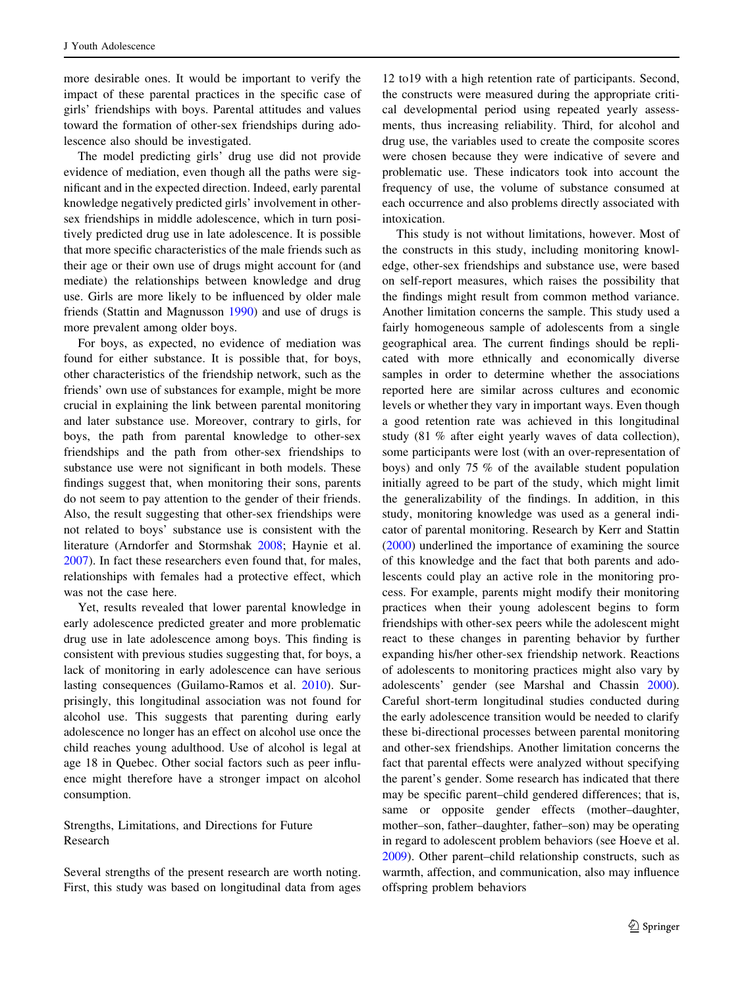more desirable ones. It would be important to verify the impact of these parental practices in the specific case of girls' friendships with boys. Parental attitudes and values toward the formation of other-sex friendships during adolescence also should be investigated.

The model predicting girls' drug use did not provide evidence of mediation, even though all the paths were significant and in the expected direction. Indeed, early parental knowledge negatively predicted girls' involvement in othersex friendships in middle adolescence, which in turn positively predicted drug use in late adolescence. It is possible that more specific characteristics of the male friends such as their age or their own use of drugs might account for (and mediate) the relationships between knowledge and drug use. Girls are more likely to be influenced by older male friends (Stattin and Magnusson [1990](#page-13-0)) and use of drugs is more prevalent among older boys.

For boys, as expected, no evidence of mediation was found for either substance. It is possible that, for boys, other characteristics of the friendship network, such as the friends' own use of substances for example, might be more crucial in explaining the link between parental monitoring and later substance use. Moreover, contrary to girls, for boys, the path from parental knowledge to other-sex friendships and the path from other-sex friendships to substance use were not significant in both models. These findings suggest that, when monitoring their sons, parents do not seem to pay attention to the gender of their friends. Also, the result suggesting that other-sex friendships were not related to boys' substance use is consistent with the literature (Arndorfer and Stormshak [2008](#page-11-0); Haynie et al. [2007\)](#page-12-0). In fact these researchers even found that, for males, relationships with females had a protective effect, which was not the case here.

Yet, results revealed that lower parental knowledge in early adolescence predicted greater and more problematic drug use in late adolescence among boys. This finding is consistent with previous studies suggesting that, for boys, a lack of monitoring in early adolescence can have serious lasting consequences (Guilamo-Ramos et al. [2010\)](#page-12-0). Surprisingly, this longitudinal association was not found for alcohol use. This suggests that parenting during early adolescence no longer has an effect on alcohol use once the child reaches young adulthood. Use of alcohol is legal at age 18 in Quebec. Other social factors such as peer influence might therefore have a stronger impact on alcohol consumption.

## Strengths, Limitations, and Directions for Future Research

Several strengths of the present research are worth noting. First, this study was based on longitudinal data from ages

12 to19 with a high retention rate of participants. Second, the constructs were measured during the appropriate critical developmental period using repeated yearly assessments, thus increasing reliability. Third, for alcohol and drug use, the variables used to create the composite scores were chosen because they were indicative of severe and problematic use. These indicators took into account the frequency of use, the volume of substance consumed at each occurrence and also problems directly associated with intoxication.

This study is not without limitations, however. Most of the constructs in this study, including monitoring knowledge, other-sex friendships and substance use, were based on self-report measures, which raises the possibility that the findings might result from common method variance. Another limitation concerns the sample. This study used a fairly homogeneous sample of adolescents from a single geographical area. The current findings should be replicated with more ethnically and economically diverse samples in order to determine whether the associations reported here are similar across cultures and economic levels or whether they vary in important ways. Even though a good retention rate was achieved in this longitudinal study (81 % after eight yearly waves of data collection), some participants were lost (with an over-representation of boys) and only 75 % of the available student population initially agreed to be part of the study, which might limit the generalizability of the findings. In addition, in this study, monitoring knowledge was used as a general indicator of parental monitoring. Research by Kerr and Stattin [\(2000](#page-12-0)) underlined the importance of examining the source of this knowledge and the fact that both parents and adolescents could play an active role in the monitoring process. For example, parents might modify their monitoring practices when their young adolescent begins to form friendships with other-sex peers while the adolescent might react to these changes in parenting behavior by further expanding his/her other-sex friendship network. Reactions of adolescents to monitoring practices might also vary by adolescents' gender (see Marshal and Chassin [2000](#page-12-0)). Careful short-term longitudinal studies conducted during the early adolescence transition would be needed to clarify these bi-directional processes between parental monitoring and other-sex friendships. Another limitation concerns the fact that parental effects were analyzed without specifying the parent's gender. Some research has indicated that there may be specific parent–child gendered differences; that is, same or opposite gender effects (mother–daughter, mother–son, father–daughter, father–son) may be operating in regard to adolescent problem behaviors (see Hoeve et al. [2009](#page-12-0)). Other parent–child relationship constructs, such as warmth, affection, and communication, also may influence offspring problem behaviors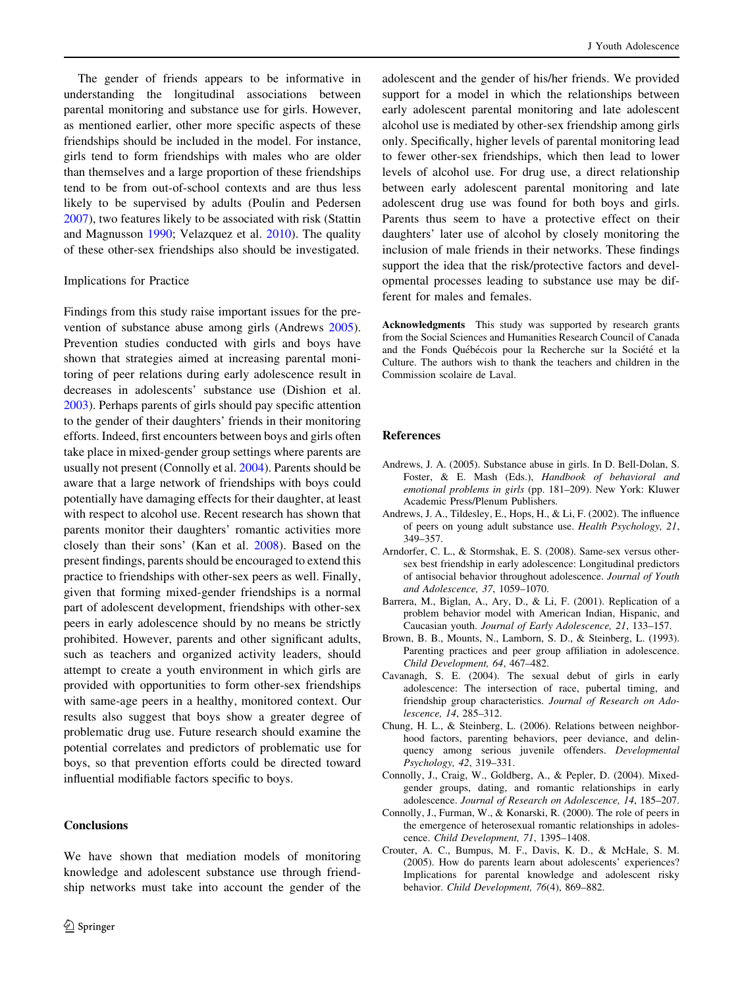<span id="page-11-0"></span>The gender of friends appears to be informative in understanding the longitudinal associations between parental monitoring and substance use for girls. However, as mentioned earlier, other more specific aspects of these friendships should be included in the model. For instance, girls tend to form friendships with males who are older than themselves and a large proportion of these friendships tend to be from out-of-school contexts and are thus less likely to be supervised by adults (Poulin and Pedersen [2007\)](#page-13-0), two features likely to be associated with risk (Stattin and Magnusson [1990;](#page-13-0) Velazquez et al. [2010](#page-13-0)). The quality of these other-sex friendships also should be investigated.

#### Implications for Practice

Findings from this study raise important issues for the prevention of substance abuse among girls (Andrews 2005). Prevention studies conducted with girls and boys have shown that strategies aimed at increasing parental monitoring of peer relations during early adolescence result in decreases in adolescents' substance use (Dishion et al. [2003\)](#page-12-0). Perhaps parents of girls should pay specific attention to the gender of their daughters' friends in their monitoring efforts. Indeed, first encounters between boys and girls often take place in mixed-gender group settings where parents are usually not present (Connolly et al. 2004). Parents should be aware that a large network of friendships with boys could potentially have damaging effects for their daughter, at least with respect to alcohol use. Recent research has shown that parents monitor their daughters' romantic activities more closely than their sons' (Kan et al. [2008\)](#page-12-0). Based on the present findings, parents should be encouraged to extend this practice to friendships with other-sex peers as well. Finally, given that forming mixed-gender friendships is a normal part of adolescent development, friendships with other-sex peers in early adolescence should by no means be strictly prohibited. However, parents and other significant adults, such as teachers and organized activity leaders, should attempt to create a youth environment in which girls are provided with opportunities to form other-sex friendships with same-age peers in a healthy, monitored context. Our results also suggest that boys show a greater degree of problematic drug use. Future research should examine the potential correlates and predictors of problematic use for boys, so that prevention efforts could be directed toward influential modifiable factors specific to boys.

## **Conclusions**

We have shown that mediation models of monitoring knowledge and adolescent substance use through friendship networks must take into account the gender of the

adolescent and the gender of his/her friends. We provided support for a model in which the relationships between early adolescent parental monitoring and late adolescent alcohol use is mediated by other-sex friendship among girls only. Specifically, higher levels of parental monitoring lead to fewer other-sex friendships, which then lead to lower levels of alcohol use. For drug use, a direct relationship between early adolescent parental monitoring and late adolescent drug use was found for both boys and girls. Parents thus seem to have a protective effect on their daughters' later use of alcohol by closely monitoring the inclusion of male friends in their networks. These findings support the idea that the risk/protective factors and developmental processes leading to substance use may be different for males and females.

Acknowledgments This study was supported by research grants from the Social Sciences and Humanities Research Council of Canada and the Fonds Québécois pour la Recherche sur la Société et la Culture. The authors wish to thank the teachers and children in the Commission scolaire de Laval.

#### References

- Andrews, J. A. (2005). Substance abuse in girls. In D. Bell-Dolan, S. Foster, & E. Mash (Eds.), Handbook of behavioral and emotional problems in girls (pp. 181–209). New York: Kluwer Academic Press/Plenum Publishers.
- Andrews, J. A., Tildesley, E., Hops, H., & Li, F. (2002). The influence of peers on young adult substance use. Health Psychology, 21, 349–357.
- Arndorfer, C. L., & Stormshak, E. S. (2008). Same-sex versus othersex best friendship in early adolescence: Longitudinal predictors of antisocial behavior throughout adolescence. Journal of Youth and Adolescence, 37, 1059–1070.
- Barrera, M., Biglan, A., Ary, D., & Li, F. (2001). Replication of a problem behavior model with American Indian, Hispanic, and Caucasian youth. Journal of Early Adolescence, 21, 133–157.
- Brown, B. B., Mounts, N., Lamborn, S. D., & Steinberg, L. (1993). Parenting practices and peer group affiliation in adolescence. Child Development, 64, 467–482.
- Cavanagh, S. E. (2004). The sexual debut of girls in early adolescence: The intersection of race, pubertal timing, and friendship group characteristics. Journal of Research on Adolescence, 14, 285–312.
- Chung, H. L., & Steinberg, L. (2006). Relations between neighborhood factors, parenting behaviors, peer deviance, and delinquency among serious juvenile offenders. Developmental Psychology, 42, 319–331.
- Connolly, J., Craig, W., Goldberg, A., & Pepler, D. (2004). Mixedgender groups, dating, and romantic relationships in early adolescence. Journal of Research on Adolescence, 14, 185–207.
- Connolly, J., Furman, W., & Konarski, R. (2000). The role of peers in the emergence of heterosexual romantic relationships in adolescence. Child Development, 71, 1395–1408.
- Crouter, A. C., Bumpus, M. F., Davis, K. D., & McHale, S. M. (2005). How do parents learn about adolescents' experiences? Implications for parental knowledge and adolescent risky behavior. Child Development, 76(4), 869–882.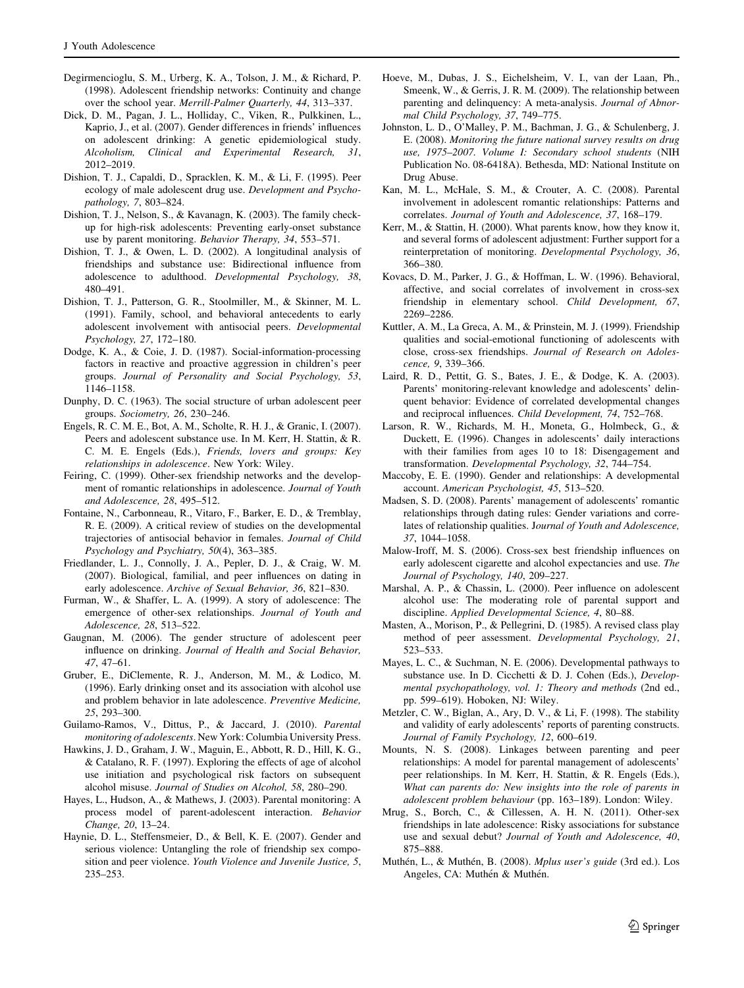- <span id="page-12-0"></span>Degirmencioglu, S. M., Urberg, K. A., Tolson, J. M., & Richard, P. (1998). Adolescent friendship networks: Continuity and change over the school year. Merrill-Palmer Quarterly, 44, 313–337.
- Dick, D. M., Pagan, J. L., Holliday, C., Viken, R., Pulkkinen, L., Kaprio, J., et al. (2007). Gender differences in friends' influences on adolescent drinking: A genetic epidemiological study. Alcoholism, Clinical and Experimental Research, 31, 2012–2019.
- Dishion, T. J., Capaldi, D., Spracklen, K. M., & Li, F. (1995). Peer ecology of male adolescent drug use. Development and Psychopathology, 7, 803–824.
- Dishion, T. J., Nelson, S., & Kavanagn, K. (2003). The family checkup for high-risk adolescents: Preventing early-onset substance use by parent monitoring. Behavior Therapy, 34, 553–571.
- Dishion, T. J., & Owen, L. D. (2002). A longitudinal analysis of friendships and substance use: Bidirectional influence from adolescence to adulthood. Developmental Psychology, 38, 480–491.
- Dishion, T. J., Patterson, G. R., Stoolmiller, M., & Skinner, M. L. (1991). Family, school, and behavioral antecedents to early adolescent involvement with antisocial peers. Developmental Psychology, 27, 172–180.
- Dodge, K. A., & Coie, J. D. (1987). Social-information-processing factors in reactive and proactive aggression in children's peer groups. Journal of Personality and Social Psychology, 53, 1146–1158.
- Dunphy, D. C. (1963). The social structure of urban adolescent peer groups. Sociometry, 26, 230–246.
- Engels, R. C. M. E., Bot, A. M., Scholte, R. H. J., & Granic, I. (2007). Peers and adolescent substance use. In M. Kerr, H. Stattin, & R. C. M. E. Engels (Eds.), Friends, lovers and groups: Key relationships in adolescence. New York: Wiley.
- Feiring, C. (1999). Other-sex friendship networks and the development of romantic relationships in adolescence. Journal of Youth and Adolescence, 28, 495–512.
- Fontaine, N., Carbonneau, R., Vitaro, F., Barker, E. D., & Tremblay, R. E. (2009). A critical review of studies on the developmental trajectories of antisocial behavior in females. Journal of Child Psychology and Psychiatry, 50(4), 363–385.
- Friedlander, L. J., Connolly, J. A., Pepler, D. J., & Craig, W. M. (2007). Biological, familial, and peer influences on dating in early adolescence. Archive of Sexual Behavior, 36, 821–830.
- Furman, W., & Shaffer, L. A. (1999). A story of adolescence: The emergence of other-sex relationships. Journal of Youth and Adolescence, 28, 513–522.
- Gaugnan, M. (2006). The gender structure of adolescent peer influence on drinking. Journal of Health and Social Behavior, 47, 47–61.
- Gruber, E., DiClemente, R. J., Anderson, M. M., & Lodico, M. (1996). Early drinking onset and its association with alcohol use and problem behavior in late adolescence. Preventive Medicine, 25, 293–300.
- Guilamo-Ramos, V., Dittus, P., & Jaccard, J. (2010). Parental monitoring of adolescents. New York: Columbia University Press.
- Hawkins, J. D., Graham, J. W., Maguin, E., Abbott, R. D., Hill, K. G., & Catalano, R. F. (1997). Exploring the effects of age of alcohol use initiation and psychological risk factors on subsequent alcohol misuse. Journal of Studies on Alcohol, 58, 280–290.
- Hayes, L., Hudson, A., & Mathews, J. (2003). Parental monitoring: A process model of parent-adolescent interaction. Behavior Change, 20, 13–24.
- Haynie, D. L., Steffensmeier, D., & Bell, K. E. (2007). Gender and serious violence: Untangling the role of friendship sex composition and peer violence. Youth Violence and Juvenile Justice, 5, 235–253.
- Hoeve, M., Dubas, J. S., Eichelsheim, V. I., van der Laan, Ph., Smeenk, W., & Gerris, J. R. M. (2009). The relationship between parenting and delinquency: A meta-analysis. Journal of Abnormal Child Psychology, 37, 749–775.
- Johnston, L. D., O'Malley, P. M., Bachman, J. G., & Schulenberg, J. E. (2008). Monitoring the future national survey results on drug use, 1975–2007. Volume I: Secondary school students (NIH Publication No. 08-6418A). Bethesda, MD: National Institute on Drug Abuse.
- Kan, M. L., McHale, S. M., & Crouter, A. C. (2008). Parental involvement in adolescent romantic relationships: Patterns and correlates. Journal of Youth and Adolescence, 37, 168–179.
- Kerr, M., & Stattin, H. (2000). What parents know, how they know it, and several forms of adolescent adjustment: Further support for a reinterpretation of monitoring. Developmental Psychology, 36, 366–380.
- Kovacs, D. M., Parker, J. G., & Hoffman, L. W. (1996). Behavioral, affective, and social correlates of involvement in cross-sex friendship in elementary school. Child Development, 67, 2269–2286.
- Kuttler, A. M., La Greca, A. M., & Prinstein, M. J. (1999). Friendship qualities and social-emotional functioning of adolescents with close, cross-sex friendships. Journal of Research on Adolescence, 9, 339–366.
- Laird, R. D., Pettit, G. S., Bates, J. E., & Dodge, K. A. (2003). Parents' monitoring-relevant knowledge and adolescents' delinquent behavior: Evidence of correlated developmental changes and reciprocal influences. Child Development, 74, 752–768.
- Larson, R. W., Richards, M. H., Moneta, G., Holmbeck, G., & Duckett, E. (1996). Changes in adolescents' daily interactions with their families from ages 10 to 18: Disengagement and transformation. Developmental Psychology, 32, 744–754.
- Maccoby, E. E. (1990). Gender and relationships: A developmental account. American Psychologist, 45, 513–520.
- Madsen, S. D. (2008). Parents' management of adolescents' romantic relationships through dating rules: Gender variations and correlates of relationship qualities. Journal of Youth and Adolescence, 37, 1044–1058.
- Malow-Iroff, M. S. (2006). Cross-sex best friendship influences on early adolescent cigarette and alcohol expectancies and use. The Journal of Psychology, 140, 209–227.
- Marshal, A. P., & Chassin, L. (2000). Peer influence on adolescent alcohol use: The moderating role of parental support and discipline. Applied Developmental Science, 4, 80–88.
- Masten, A., Morison, P., & Pellegrini, D. (1985). A revised class play method of peer assessment. Developmental Psychology, 21, 523–533.
- Mayes, L. C., & Suchman, N. E. (2006). Developmental pathways to substance use. In D. Cicchetti & D. J. Cohen (Eds.), Developmental psychopathology, vol. 1: Theory and methods (2nd ed., pp. 599–619). Hoboken, NJ: Wiley.
- Metzler, C. W., Biglan, A., Ary, D. V., & Li, F. (1998). The stability and validity of early adolescents' reports of parenting constructs. Journal of Family Psychology, 12, 600–619.
- Mounts, N. S. (2008). Linkages between parenting and peer relationships: A model for parental management of adolescents' peer relationships. In M. Kerr, H. Stattin, & R. Engels (Eds.), What can parents do: New insights into the role of parents in adolescent problem behaviour (pp. 163–189). London: Wiley.
- Mrug, S., Borch, C., & Cillessen, A. H. N. (2011). Other-sex friendships in late adolescence: Risky associations for substance use and sexual debut? Journal of Youth and Adolescence, 40, 875–888.
- Muthén, L., & Muthén, B. (2008). Mplus user's guide (3rd ed.). Los Angeles, CA: Muthén & Muthén.